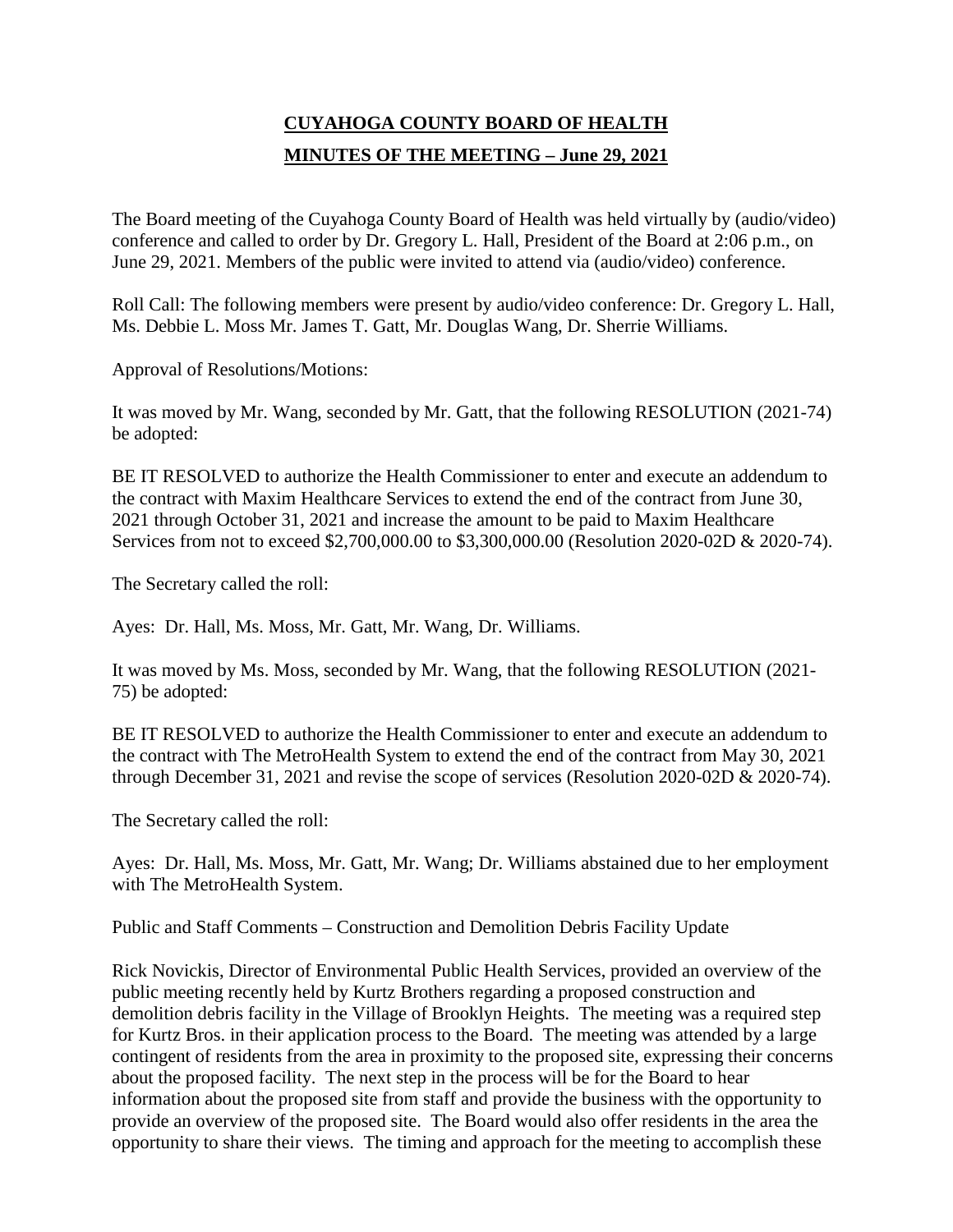## **CUYAHOGA COUNTY BOARD OF HEALTH MINUTES OF THE MEETING – June 29, 2021**

The Board meeting of the Cuyahoga County Board of Health was held virtually by (audio/video) conference and called to order by Dr. Gregory L. Hall, President of the Board at 2:06 p.m., on June 29, 2021. Members of the public were invited to attend via (audio/video) conference.

Roll Call: The following members were present by audio/video conference: Dr. Gregory L. Hall, Ms. Debbie L. Moss Mr. James T. Gatt, Mr. Douglas Wang, Dr. Sherrie Williams.

Approval of Resolutions/Motions:

It was moved by Mr. Wang, seconded by Mr. Gatt, that the following RESOLUTION (2021-74) be adopted:

BE IT RESOLVED to authorize the Health Commissioner to enter and execute an addendum to the contract with Maxim Healthcare Services to extend the end of the contract from June 30, 2021 through October 31, 2021 and increase the amount to be paid to Maxim Healthcare Services from not to exceed \$2,700,000.00 to \$3,300,000.00 (Resolution 2020-02D & 2020-74).

The Secretary called the roll:

Ayes: Dr. Hall, Ms. Moss, Mr. Gatt, Mr. Wang, Dr. Williams.

It was moved by Ms. Moss, seconded by Mr. Wang, that the following RESOLUTION (2021- 75) be adopted:

BE IT RESOLVED to authorize the Health Commissioner to enter and execute an addendum to the contract with The MetroHealth System to extend the end of the contract from May 30, 2021 through December 31, 2021 and revise the scope of services (Resolution 2020-02D & 2020-74).

The Secretary called the roll:

Ayes: Dr. Hall, Ms. Moss, Mr. Gatt, Mr. Wang; Dr. Williams abstained due to her employment with The MetroHealth System.

Public and Staff Comments – Construction and Demolition Debris Facility Update

Rick Novickis, Director of Environmental Public Health Services, provided an overview of the public meeting recently held by Kurtz Brothers regarding a proposed construction and demolition debris facility in the Village of Brooklyn Heights. The meeting was a required step for Kurtz Bros. in their application process to the Board. The meeting was attended by a large contingent of residents from the area in proximity to the proposed site, expressing their concerns about the proposed facility. The next step in the process will be for the Board to hear information about the proposed site from staff and provide the business with the opportunity to provide an overview of the proposed site. The Board would also offer residents in the area the opportunity to share their views. The timing and approach for the meeting to accomplish these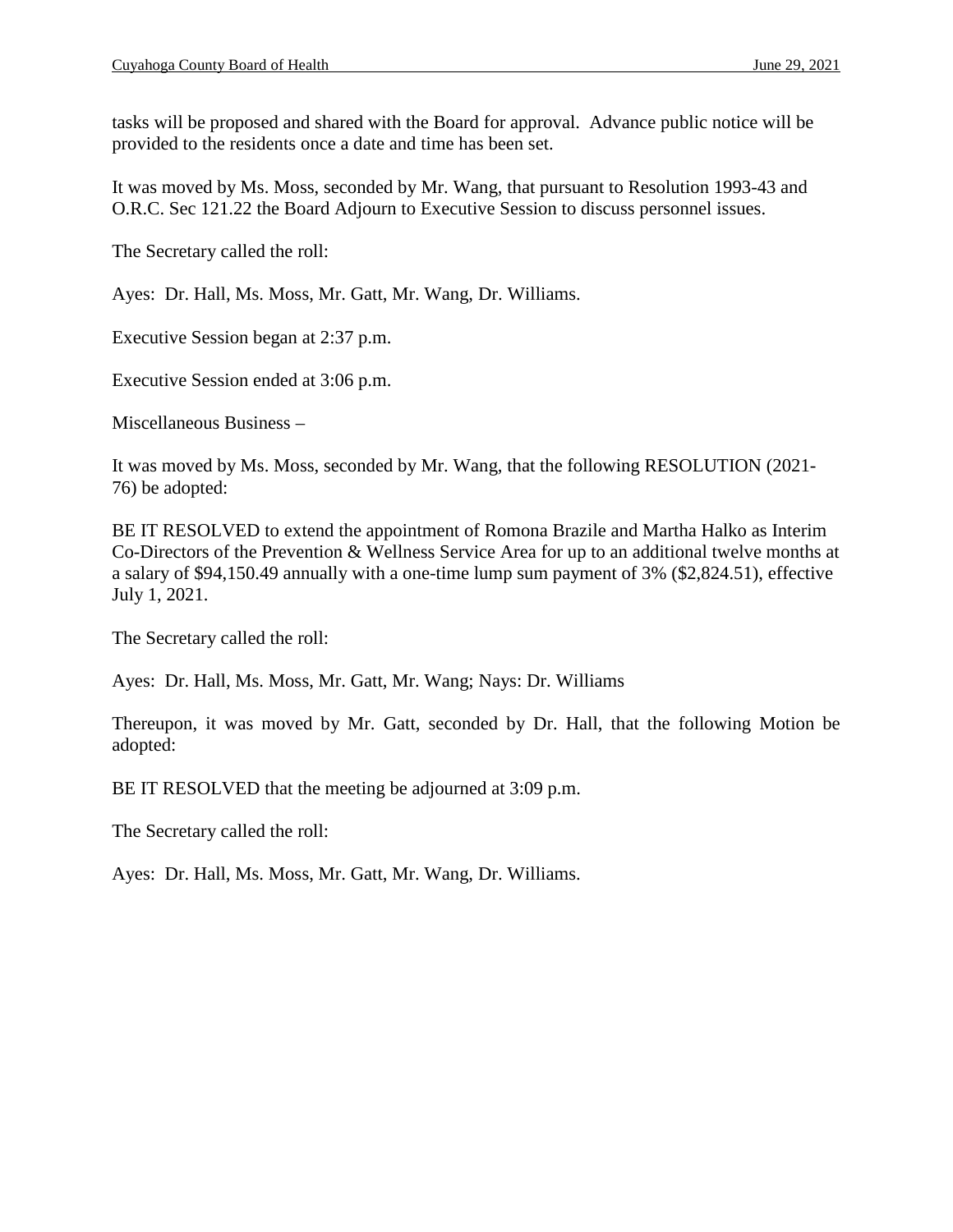tasks will be proposed and shared with the Board for approval. Advance public notice will be provided to the residents once a date and time has been set.

It was moved by Ms. Moss, seconded by Mr. Wang, that pursuant to Resolution 1993-43 and O.R.C. Sec 121.22 the Board Adjourn to Executive Session to discuss personnel issues.

The Secretary called the roll:

Ayes: Dr. Hall, Ms. Moss, Mr. Gatt, Mr. Wang, Dr. Williams.

Executive Session began at 2:37 p.m.

Executive Session ended at 3:06 p.m.

Miscellaneous Business –

It was moved by Ms. Moss, seconded by Mr. Wang, that the following RESOLUTION (2021- 76) be adopted:

BE IT RESOLVED to extend the appointment of Romona Brazile and Martha Halko as Interim Co-Directors of the Prevention & Wellness Service Area for up to an additional twelve months at a salary of \$94,150.49 annually with a one-time lump sum payment of 3% (\$2,824.51), effective July 1, 2021.

The Secretary called the roll:

Ayes: Dr. Hall, Ms. Moss, Mr. Gatt, Mr. Wang; Nays: Dr. Williams

Thereupon, it was moved by Mr. Gatt, seconded by Dr. Hall, that the following Motion be adopted:

BE IT RESOLVED that the meeting be adjourned at 3:09 p.m.

The Secretary called the roll:

Ayes: Dr. Hall, Ms. Moss, Mr. Gatt, Mr. Wang, Dr. Williams.